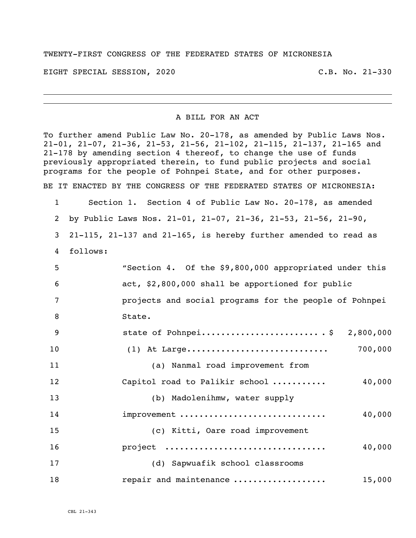## TWENTY-FIRST CONGRESS OF THE FEDERATED STATES OF MICRONESIA

EIGHT SPECIAL SESSION, 2020 C.B. No. 21-330

## A BILL FOR AN ACT

To further amend Public Law No. 20-178, as amended by Public Laws Nos. 21-01, 21-07, 21-36, 21-53, 21-56, 21-102, 21-115, 21-137, 21-165 and 21-178 by amending section 4 thereof, to change the use of funds previously appropriated therein, to fund public projects and social programs for the people of Pohnpei State, and for other purposes. BE IT ENACTED BY THE CONGRESS OF THE FEDERATED STATES OF MICRONESIA:

 Section 1. Section 4 of Public Law No. 20-178, as amended by Public Laws Nos. 21-01, 21-07, 21-36, 21-53, 21-56, 21-90, 21-115, 21-137 and 21-165, is hereby further amended to read as follows:

| 5  | "Section 4. Of the \$9,800,000 appropriated under this |
|----|--------------------------------------------------------|
| 6  | act, \$2,800,000 shall be apportioned for public       |
| 7  | projects and social programs for the people of Pohnpei |
| 8  | State.                                                 |
| 9  | state of Pohnpei $\frac{5}{7}$ 2,800,000               |
| 10 | 700,000                                                |
| 11 | (a) Nanmal road improvement from                       |
| 12 | 40,000<br>Capitol road to Palikir school               |
| 13 | (b) Madolenihmw, water supply                          |
| 14 | improvement<br>40,000                                  |
| 15 | (c) Kitti, Oare road improvement                       |
| 16 | project<br>40,000                                      |
| 17 | (d) Sapwuafik school classrooms                        |
| 18 | repair and maintenance<br>15,000                       |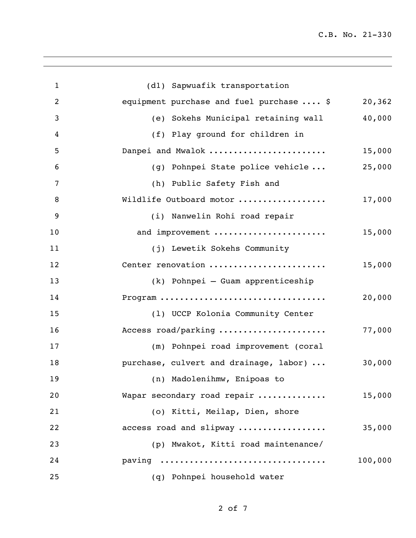C.B. No. 21-330

| (dl) Sapwuafik transportation<br>equipment purchase and fuel purchase  \$<br>(e) Sokehs Municipal retaining wall<br>(f) Play ground for children in<br>Danpei and Mwalok<br>(g) Pohnpei State police vehicle<br>(h) Public Safety Fish and<br>Wildlife Outboard motor<br>(i) Nanwelin Rohi road repair<br>and improvement<br>(j) Lewetik Sokehs Community<br>Center renovation | 20,362<br>40,000<br>15,000<br>25,000<br>17,000<br>15,000 |
|--------------------------------------------------------------------------------------------------------------------------------------------------------------------------------------------------------------------------------------------------------------------------------------------------------------------------------------------------------------------------------|----------------------------------------------------------|
|                                                                                                                                                                                                                                                                                                                                                                                |                                                          |
|                                                                                                                                                                                                                                                                                                                                                                                |                                                          |
|                                                                                                                                                                                                                                                                                                                                                                                |                                                          |
|                                                                                                                                                                                                                                                                                                                                                                                |                                                          |
|                                                                                                                                                                                                                                                                                                                                                                                |                                                          |
|                                                                                                                                                                                                                                                                                                                                                                                |                                                          |
|                                                                                                                                                                                                                                                                                                                                                                                |                                                          |
|                                                                                                                                                                                                                                                                                                                                                                                |                                                          |
|                                                                                                                                                                                                                                                                                                                                                                                |                                                          |
|                                                                                                                                                                                                                                                                                                                                                                                |                                                          |
|                                                                                                                                                                                                                                                                                                                                                                                |                                                          |
|                                                                                                                                                                                                                                                                                                                                                                                | 15,000                                                   |
| (k) Pohnpei - Guam apprenticeship                                                                                                                                                                                                                                                                                                                                              |                                                          |
| Program                                                                                                                                                                                                                                                                                                                                                                        | 20,000                                                   |
| (1) UCCP Kolonia Community Center                                                                                                                                                                                                                                                                                                                                              |                                                          |
| Access road/parking                                                                                                                                                                                                                                                                                                                                                            | 77,000                                                   |
| (m) Pohnpei road improvement (coral                                                                                                                                                                                                                                                                                                                                            |                                                          |
| purchase, culvert and drainage, labor)                                                                                                                                                                                                                                                                                                                                         | 30,000                                                   |
| (n) Madolenihmw, Enipoas to                                                                                                                                                                                                                                                                                                                                                    |                                                          |
| Wapar secondary road repair                                                                                                                                                                                                                                                                                                                                                    | 15,000                                                   |
| (o) Kitti, Meilap, Dien, shore                                                                                                                                                                                                                                                                                                                                                 |                                                          |
| access road and slipway                                                                                                                                                                                                                                                                                                                                                        | 35,000                                                   |
| (p) Mwakot, Kitti road maintenance/                                                                                                                                                                                                                                                                                                                                            |                                                          |
| paving                                                                                                                                                                                                                                                                                                                                                                         | 100,000                                                  |
| (q) Pohnpei household water                                                                                                                                                                                                                                                                                                                                                    |                                                          |
|                                                                                                                                                                                                                                                                                                                                                                                |                                                          |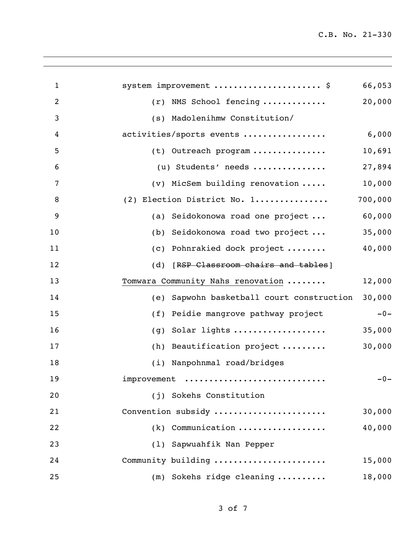C.B. No. 21-330

| $\mathbf{1}$   | system improvement  \$                       | 66,053  |
|----------------|----------------------------------------------|---------|
| $\overline{2}$ | NMS School fencing<br>(r)                    | 20,000  |
| 3              | (s) Madolenihmw Constitution/                |         |
| 4              | activities/sports events                     | 6,000   |
| 5              | (t) Outreach program                         | 10,691  |
| 6              | (u) Students' needs                          | 27,894  |
| 7              | (v) MicSem building renovation               | 10,000  |
| 8              | (2) Election District No. 1                  | 700,000 |
| 9              | Seidokonowa road one project<br>(a)          | 60,000  |
| 10             | Seidokonowa road two project<br>(b)          | 35,000  |
| 11             | Pohnrakied dock project<br>(C)               | 40,000  |
| 12             | (d) [RSP Classroom chairs and tables]        |         |
| 13             | Tomwara Community Nahs renovation            | 12,000  |
| 14             | Sapwohn basketball court construction<br>(e) | 30,000  |
| 15             | Peidie mangrove pathway project<br>(f)       | $-0-$   |
| 16             | Solar lights<br>(g)                          | 35,000  |
| 17             | (h) Beautification project                   | 30,000  |
| 18             | (i) Nanpohnmal road/bridges                  |         |
| 19             | improvement                                  | $-0-$   |
| 20             | (j) Sokehs Constitution                      |         |
| 21             | Convention subsidy                           | 30,000  |
| 22             | $(k)$ Communication                          | 40,000  |
| 23             | (1) Sapwuahfik Nan Pepper                    |         |
| 24             | Community building                           | 15,000  |
| 25             | $(m)$ Sokehs ridge cleaning                  | 18,000  |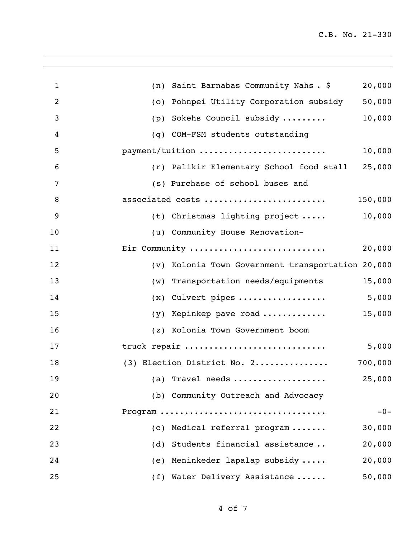| $\mathbf{1}$   | 20,000<br>(n) Saint Barnabas Community Nahs. \$      |
|----------------|------------------------------------------------------|
| $\overline{2}$ | 50,000<br>Pohnpei Utility Corporation subsidy<br>(0) |
| 3              | 10,000<br>Sokehs Council subsidy<br>(p)              |
| 4              | (q) COM-FSM students outstanding                     |
| 5              | payment/tuition<br>10,000                            |
| 6              | 25,000<br>(r) Palikir Elementary School food stall   |
| 7              | (s) Purchase of school buses and                     |
| 8              | associated costs<br>150,000                          |
| 9              | 10,000<br>(t) Christmas lighting project             |
| 10             | (u) Community House Renovation-                      |
| 11             | Eir Community<br>20,000                              |
| 12             | (v) Kolonia Town Government transportation 20,000    |
| 13             | 15,000<br>(w) Transportation needs/equipments        |
| 14             | 5,000<br>Culvert pipes<br>(x)                        |
| 15             | 15,000<br>Kepinkep pave road<br>(y)                  |
| 16             | (z) Kolonia Town Government boom                     |
| 17             | truck repair<br>5,000                                |
| 18             | (3) Election District No. 2<br>700,000               |
| 19             | 25,000<br>(a) Travel needs                           |
| 20             | (b) Community Outreach and Advocacy                  |
| 21             | $-0-$<br>Program                                     |
| 22             | (c) Medical referral program<br>30,000               |
| 23             | (d) Students financial assistance<br>20,000          |
| 24             | (e) Meninkeder lapalap subsidy<br>20,000             |
| 25             | 50,000<br>(f) Water Delivery Assistance              |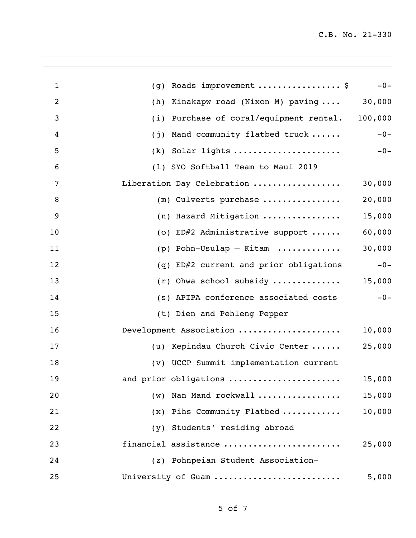| $\mathbf{1}$   | Roads improvement \$<br>(g)                        | $-0-$  |
|----------------|----------------------------------------------------|--------|
| $\overline{2}$ | Kinakapw road (Nixon M) paving  30,000<br>(h)      |        |
| 3              | Purchase of coral/equipment rental. 100,000<br>(i) |        |
| 4              | Mand community flatbed truck<br>(j)                | $-0-$  |
| 5              |                                                    |        |
| 6              | (1) SYO Softball Team to Maui 2019                 |        |
| 7              | Liberation Day Celebration                         | 30,000 |
| $\, 8$         | $(m)$ Culverts purchase                            | 20,000 |
| 9              | (n) Hazard Mitigation                              | 15,000 |
| 10             | (o) ED#2 Administrative support                    | 60,000 |
| 11             | (p) Pohn-Usulap - Kitam $\ldots \ldots \ldots$     | 30,000 |
| 12             | (q) ED#2 current and prior obligations             | $-0-$  |
| 13             | $(r)$ Ohwa school subsidy                          | 15,000 |
| 14             | (s) APIPA conference associated costs              | $-0-$  |
| 15             | (t) Dien and Pehleng Pepper                        |        |
| 16             | Development Association                            | 10,000 |
| 17             | (u) Kepindau Church Civic Center                   | 25,000 |
| 18             | (v) UCCP Summit implementation current             |        |
| 19             | and prior obligations                              | 15,000 |
| 20             | (w) Nan Mand rockwall                              | 15,000 |
| 21             | (x) Pihs Community Flatbed                         | 10,000 |
| 22             | (y) Students' residing abroad                      |        |
| 23             | financial assistance                               | 25,000 |
| 24             | (z) Pohnpeian Student Association-                 |        |
| 25             | University of Guam                                 | 5,000  |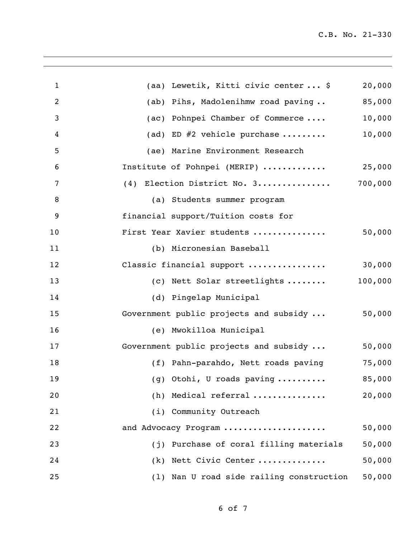C.B. No. 21-330

| $\mathbf 1$    | (aa) Lewetik, Kitti civic center  \$     | 20,000  |
|----------------|------------------------------------------|---------|
| $\overline{2}$ | (ab) Pihs, Madolenihmw road paving       | 85,000  |
| 3              | (ac) Pohnpei Chamber of Commerce         | 10,000  |
| 4              | (ad) ED $#2$ vehicle purchase            | 10,000  |
| 5              | (ae) Marine Environment Research         |         |
| 6              | Institute of Pohnpei (MERIP)             | 25,000  |
| 7              | (4) Election District No. 3              | 700,000 |
| 8              | (a) Students summer program              |         |
| 9              | financial support/Tuition costs for      |         |
| 10             | First Year Xavier students               | 50,000  |
| 11             | (b) Micronesian Baseball                 |         |
| 12             | Classic financial support                | 30,000  |
| 13             | (c) Nett Solar streetlights              | 100,000 |
| 14             | (d) Pingelap Municipal                   |         |
| 15             | Government public projects and subsidy   | 50,000  |
| 16             | (e) Mwokilloa Municipal                  |         |
| 17             | Government public projects and subsidy   | 50,000  |
| 18             | (f) Pahn-parahdo, Nett roads paving      | 75,000  |
| 19             | (g) Otohi, U roads paving                | 85,000  |
| 20             | (h) Medical referral                     | 20,000  |
| 21             | (i) Community Outreach                   |         |
| 22             | and Advocacy Program                     | 50,000  |
| 23             | (j) Purchase of coral filling materials  | 50,000  |
| 24             | (k) Nett Civic Center                    | 50,000  |
| 25             | (1) Nan U road side railing construction | 50,000  |
|                |                                          |         |